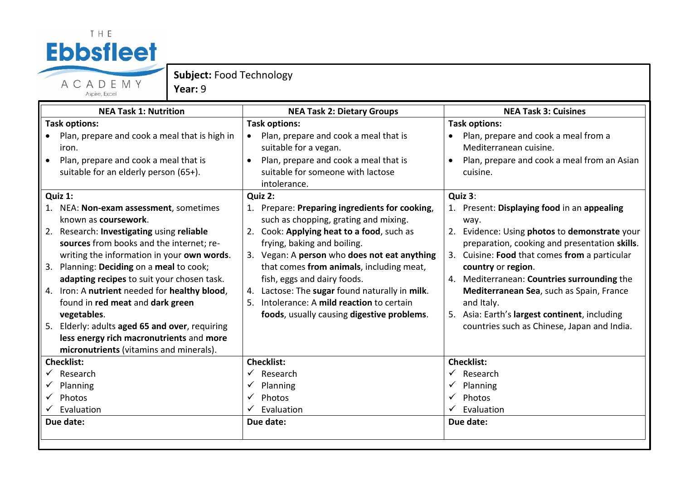## THE **Ebbsfleet** ACADEMY

**Subject:** Food Technology

**Year:** 9

| Aspire, Excel |  |
|---------------|--|

| <b>NEA Task 1: Nutrition</b>                      | <b>NEA Task 2: Dietary Groups</b>                  | <b>NEA Task 3: Cuisines</b>                   |
|---------------------------------------------------|----------------------------------------------------|-----------------------------------------------|
| <b>Task options:</b>                              | <b>Task options:</b>                               | <b>Task options:</b>                          |
| Plan, prepare and cook a meal that is high in     | Plan, prepare and cook a meal that is<br>$\bullet$ | Plan, prepare and cook a meal from a          |
| iron.                                             | suitable for a vegan.                              | Mediterranean cuisine.                        |
| Plan, prepare and cook a meal that is             | Plan, prepare and cook a meal that is<br>$\bullet$ | Plan, prepare and cook a meal from an Asian   |
| suitable for an elderly person (65+).             | suitable for someone with lactose                  | cuisine.                                      |
|                                                   | intolerance.                                       |                                               |
| Quiz 1:                                           | Quiz 2:                                            | Quiz 3:                                       |
| NEA: Non-exam assessment, sometimes<br>1.         | 1. Prepare: Preparing ingredients for cooking,     | 1. Present: Displaying food in an appealing   |
| known as coursework.                              | such as chopping, grating and mixing.              | way.                                          |
| Research: Investigating using reliable<br>2.      | 2. Cook: Applying heat to a food, such as          | 2. Evidence: Using photos to demonstrate your |
| sources from books and the internet; re-          | frying, baking and boiling.                        | preparation, cooking and presentation skills. |
| writing the information in your own words.        | 3. Vegan: A person who does not eat anything       | 3. Cuisine: Food that comes from a particular |
| Planning: Deciding on a meal to cook;<br>3.       | that comes from animals, including meat,           | country or region.                            |
| adapting recipes to suit your chosen task.        | fish, eggs and dairy foods.                        | 4. Mediterranean: Countries surrounding the   |
| 4. Iron: A nutrient needed for healthy blood,     | 4. Lactose: The sugar found naturally in milk.     | Mediterranean Sea, such as Spain, France      |
| found in red meat and dark green                  | 5. Intolerance: A mild reaction to certain         | and Italy.                                    |
| vegetables.                                       | foods, usually causing digestive problems.         | 5. Asia: Earth's largest continent, including |
| Elderly: adults aged 65 and over, requiring<br>5. |                                                    | countries such as Chinese, Japan and India.   |
| less energy rich macronutrients and more          |                                                    |                                               |
| micronutrients (vitamins and minerals).           |                                                    |                                               |
| <b>Checklist:</b>                                 | <b>Checklist:</b>                                  | <b>Checklist:</b>                             |
| Research                                          | Research<br>$\checkmark$                           | Research                                      |
| Planning                                          | Planning                                           | Planning                                      |
| Photos                                            | Photos<br>✓                                        | Photos                                        |
| Evaluation                                        | Evaluation                                         | Evaluation                                    |
| Due date:                                         | Due date:                                          | Due date:                                     |
|                                                   |                                                    |                                               |
|                                                   |                                                    |                                               |